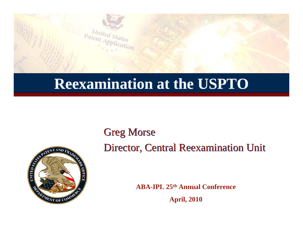

#### **Reexamination at the USPTO Reexamination at the USPTO**

Greg Morse Greg Morse



Director, Central Reexamination Unit Director, Central Reexamination Unit

**ABA-IPL 25th Annual ConferenceApril, 2010**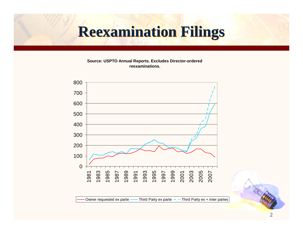# **Reexamination Filings Reexamination Filings**

**Source: USPTO Annual Reports. Excludes Director-ordered reexaminations.**

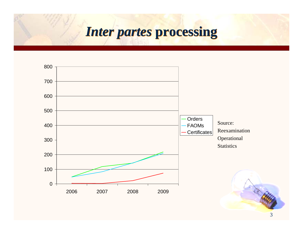### *Inter partes Inter partes* **processing processing**

![](_page_2_Figure_1.jpeg)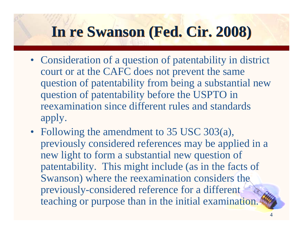## **In re Swanson (Fed. Cir. 2008) In re Swanson (Fed. Cir. 2008)**

- Consideration of a question of patentability in district court or at the CAFC does not prevent the same question of patentability from being a substantial new question of patentability before the USPTO in reexamination since different rules and standards apply.
- Following the amendment to 35 USC 303(a), previously considered references may be applied in a new light to form a substantial new question of patentability. This might include (as in the facts of Swanson) where the reexamination considers the previously-considered reference for a different teaching or purpose than in the initial examination.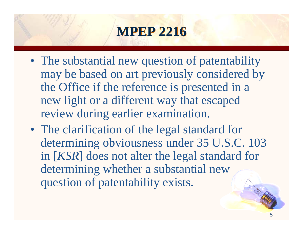## **MPEP 2216 MPEP 2216**

- The substantial new question of patentability may be based on art previously considered by the Office if the reference is presented in a new light or a different way that escaped review during earlier examination.
- The clarification of the legal standard for determining obviousness under 35 U.S.C. 103 in [*KSR*] does not alter the legal standard for determining whether a substantial new question of patentability exists.